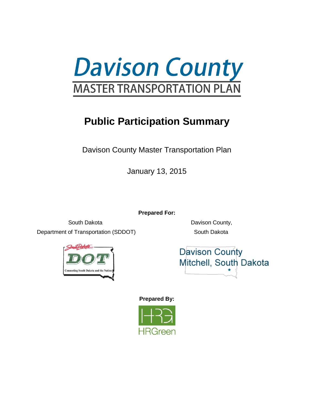

# **Public Participation Summary**

Davison County Master Transportation Plan

January 13, 2015

**Prepared For:**

South Dakota **Davison County**, Department of Transportation (SDDOT) South Dakota



**Davison County** Mitchell, South Dakota

**Prepared By:**

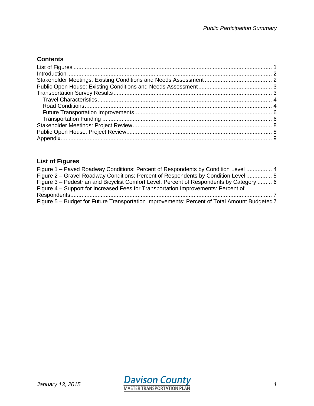# **Contents**

# <span id="page-1-0"></span>**List of Figures**

| Figure 1 – Paved Roadway Conditions: Percent of Respondents by Condition Level  4            |  |
|----------------------------------------------------------------------------------------------|--|
| Figure 2 – Gravel Roadway Conditions: Percent of Respondents by Condition Level  5           |  |
| Figure 3 – Pedestrian and Bicyclist Comfort Level: Percent of Respondents by Category  6     |  |
| Figure 4 – Support for Increased Fees for Transportation Improvements: Percent of            |  |
|                                                                                              |  |
| Figure 5 - Budget for Future Transportation Improvements: Percent of Total Amount Budgeted 7 |  |

<span id="page-1-1"></span>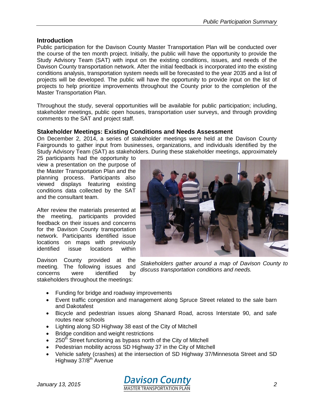#### **Introduction**

Public participation for the Davison County Master Transportation Plan will be conducted over the course of the ten month project. Initially, the public will have the opportunity to provide the Study Advisory Team (SAT) with input on the existing conditions, issues, and needs of the Davison County transportation network. After the initial feedback is incorporated into the existing conditions analysis, transportation system needs will be forecasted to the year 2035 and a list of projects will be developed. The public will have the opportunity to provide input on the list of projects to help prioritize improvements throughout the County prior to the completion of the Master Transportation Plan.

Throughout the study, several opportunities will be available for public participation; including, stakeholder meetings, public open houses, transportation user surveys, and through providing comments to the SAT and project staff.

#### <span id="page-2-0"></span>**Stakeholder Meetings: Existing Conditions and Needs Assessment**

On December 2, 2014, a series of stakeholder meetings were held at the Davison County Fairgrounds to gather input from businesses, organizations, and individuals identified by the Study Advisory Team (SAT) as stakeholders. During these stakeholder meetings, approximately

25 participants had the opportunity to view a presentation on the purpose of the Master Transportation Plan and the planning process. Participants also viewed displays featuring existing conditions data collected by the SAT and the consultant team.

After review the materials presented at the meeting, participants provided feedback on their issues and concerns for the Davison County transportation network. Participants identified issue locations on maps with previously<br>identified issue locations within identified issue locations within

Davison County provided at the meeting. The following issues and concerns were identified by stakeholders throughout the meetings:



*Stakeholders gather around a map of Davison County to discuss transportation conditions and needs.* 

- Funding for bridge and roadway improvements
- Event traffic congestion and management along Spruce Street related to the sale barn and Dakotafest
- Bicycle and pedestrian issues along Shanard Road, across Interstate 90, and safe routes near schools
- Lighting along SD Highway 38 east of the City of Mitchell
- Bridge condition and weight restrictions
- $\bullet$  250<sup>th</sup> Street functioning as bypass north of the City of Mitchell
- Pedestrian mobility across SD Highway 37 in the City of Mitchell
- Vehicle safety (crashes) at the intersection of SD Highway 37/Minnesota Street and SD Highway 37/8<sup>th</sup> Avenue

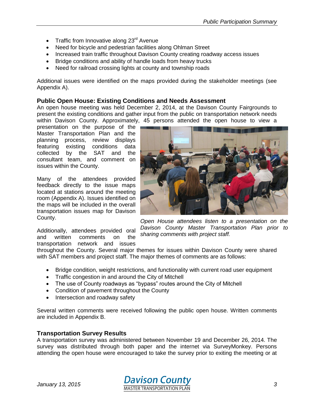- Traffic from Innovative along  $23<sup>rd</sup>$  Avenue
- Need for bicycle and pedestrian facilities along Ohlman Street
- Increased train traffic throughout Davison County creating roadway access issues
- Bridge conditions and ability of handle loads from heavy trucks
- Need for railroad crossing lights at county and township roads

Additional issues were identified on the maps provided during the stakeholder meetings (see Appendix A).

#### <span id="page-3-0"></span>**Public Open House: Existing Conditions and Needs Assessment**

An open house meeting was held December 2, 2014, at the Davison County Fairgrounds to present the existing conditions and gather input from the public on transportation network needs within Davison County. Approximately, 45 persons attended the open house to view a

presentation on the purpose of the Master Transportation Plan and the planning process, review displays featuring existing conditions data collected by the SAT and the consultant team, and comment on issues within the County.

Many of the attendees provided feedback directly to the issue maps located at stations around the meeting room (Appendix A). Issues identified on the maps will be included in the overall transportation issues map for Davison County.

Additionally, attendees provided oral and written comments on the transportation network and issues



*Open House attendees listen to a presentation on the Davison County Master Transportation Plan prior to sharing comments with project staff.*

throughout the County. Several major themes for issues within Davison County were shared with SAT members and project staff. The major themes of comments are as follows:

- Bridge condition, weight restrictions, and functionality with current road user equipment
- Traffic congestion in and around the City of Mitchell
- The use of County roadways as "bypass" routes around the City of Mitchell
- Condition of pavement throughout the County
- Intersection and roadway safety

Several written comments were received following the public open house. Written comments are included in Appendix B.

#### <span id="page-3-1"></span>**Transportation Survey Results**

A transportation survey was administered between November 19 and December 26, 2014. The survey was distributed through both paper and the internet via SurveyMonkey. Persons attending the open house were encouraged to take the survey prior to exiting the meeting or at

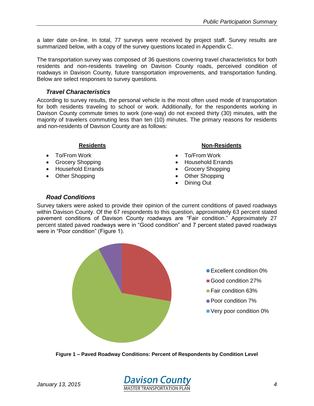a later date on-line. In total, 77 surveys were received by project staff. Survey results are summarized below, with a copy of the survey questions located in Appendix C.

The transportation survey was composed of 36 questions covering travel characteristics for both residents and non-residents traveling on Davison County roads, perceived condition of roadways in Davison County, future transportation improvements, and transportation funding. Below are select responses to survey questions.

# <span id="page-4-0"></span>*Travel Characteristics*

According to survey results, the personal vehicle is the most often used mode of transportation for both residents traveling to school or work. Additionally, for the respondents working in Davison County commute times to work (one-way) do not exceed thirty (30) minutes, with the majority of travelers commuting less than ten (10) minutes. The primary reasons for residents and non-residents of Davison County are as follows:

# **Residents**

- To/From Work
- Grocery Shopping
- Household Errands
- Other Shopping

# **Non-Residents**

- To/From Work
- Household Errands
- Grocery Shopping
- Other Shopping
- Dining Out

# <span id="page-4-1"></span>*Road Conditions*

Survey takers were asked to provide their opinion of the current conditions of paved roadways within Davison County. Of the 67 respondents to this question, approximately 63 percent stated pavement conditions of Davison County roadways are "Fair condition." Approximately 27 percent stated paved roadways were in "Good condition" and 7 percent stated paved roadways were in "Poor condition" (Figure 1).



<span id="page-4-2"></span>**Figure 1 – Paved Roadway Conditions: Percent of Respondents by Condition Level**

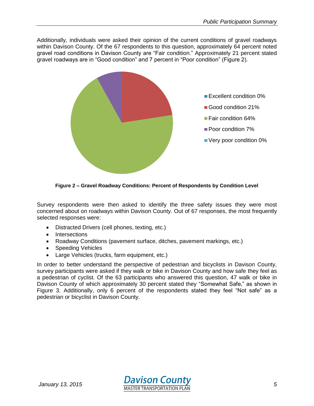Additionally, individuals were asked their opinion of the current conditions of gravel roadways within Davison County. Of the 67 respondents to this question, approximately 64 percent noted gravel road conditions in Davison County are "Fair condition." Approximately 21 percent stated gravel roadways are in "Good condition" and 7 percent in "Poor condition" (Figure 2).



**Figure 2 – Gravel Roadway Conditions: Percent of Respondents by Condition Level**

<span id="page-5-0"></span>Survey respondents were then asked to identify the three safety issues they were most concerned about on roadways within Davison County. Out of 67 responses, the most frequently selected responses were:

- Distracted Drivers (cell phones, texting, etc.)
- Intersections
- Roadway Conditions (pavement surface, ditches, pavement markings, etc.)
- Speeding Vehicles
- Large Vehicles (trucks, farm equipment, etc.)

In order to better understand the perspective of pedestrian and bicyclists in Davison County, survey participants were asked if they walk or bike in Davison County and how safe they feel as a pedestrian of cyclist. Of the 63 participants who answered this question, 47 walk or bike in Davison County of which approximately 30 percent stated they "Somewhat Safe," as shown in Figure 3. Additionally, only 6 percent of the respondents stated they feel "Not safe" as a pedestrian or bicyclist in Davison County.

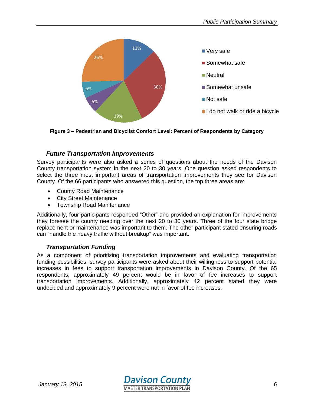

<span id="page-6-2"></span>**Figure 3 – Pedestrian and Bicyclist Comfort Level: Percent of Respondents by Category**

# <span id="page-6-0"></span>*Future Transportation Improvements*

Survey participants were also asked a series of questions about the needs of the Davison County transportation system in the next 20 to 30 years. One question asked respondents to select the three most important areas of transportation improvements they see for Davison County. Of the 66 participants who answered this question, the top three areas are:

- County Road Maintenance
- City Street Maintenance
- Township Road Maintenance

Additionally, four participants responded "Other" and provided an explanation for improvements they foresee the county needing over the next 20 to 30 years. Three of the four state bridge replacement or maintenance was important to them. The other participant stated ensuring roads can "handle the heavy traffic without breakup" was important.

# *Transportation Funding*

<span id="page-6-1"></span>As a component of prioritizing transportation improvements and evaluating transportation funding possibilities, survey participants were asked about their willingness to support potential increases in fees to support transportation improvements in Davison County. Of the 65 respondents, approximately 49 percent would be in favor of fee increases to support transportation improvements. Additionally, approximately 42 percent stated they were undecided and approximately 9 percent were not in favor of fee increases.

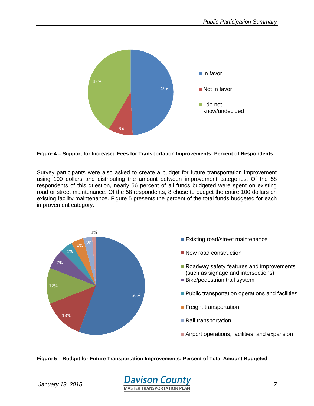

#### <span id="page-7-0"></span>**Figure 4 – Support for Increased Fees for Transportation Improvements: Percent of Respondents**

Survey participants were also asked to create a budget for future transportation improvement using 100 dollars and distributing the amount between improvement categories. Of the 58 respondents of this question, nearly 56 percent of all funds budgeted were spent on existing road or street maintenance. Of the 58 respondents, 8 chose to budget the entire 100 dollars on existing facility maintenance. Figure 5 presents the percent of the total funds budgeted for each improvement category.



#### <span id="page-7-1"></span>**Figure 5 – Budget for Future Transportation Improvements: Percent of Total Amount Budgeted**

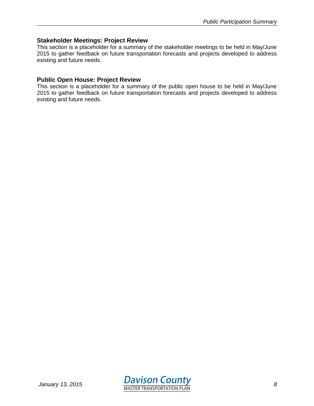#### <span id="page-8-0"></span>**Stakeholder Meetings: Project Review**

This section is a placeholder for a summary of the stakeholder meetings to be held in May/June 2015 to gather feedback on future transportation forecasts and projects developed to address existing and future needs.

#### <span id="page-8-1"></span>**Public Open House: Project Review**

This section is a placeholder for a summary of the public open house to be held in May/June 2015 to gather feedback on future transportation forecasts and projects developed to address existing and future needs.